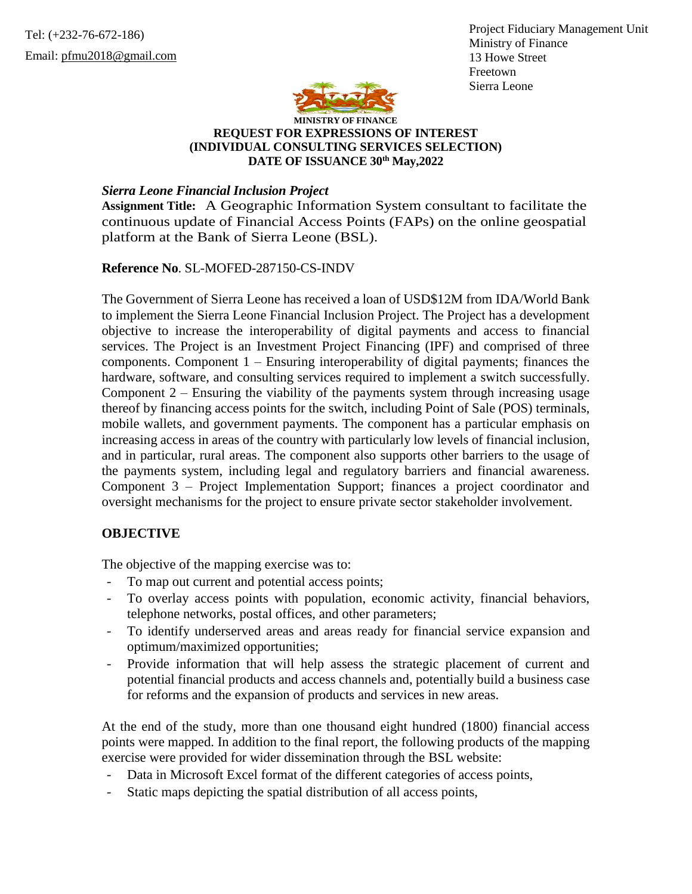Project Fiduciary Management Unit Ministry of Finance 13 Howe Street Freetown Sierra Leone



## **MINISTRY OF FINANCE REQUEST FOR EXPRESSIONS OF INTEREST (INDIVIDUAL CONSULTING SERVICES SELECTION) DATE OF ISSUANCE 30th May,2022**

*Sierra Leone Financial Inclusion Project*

**Assignment Title:** A Geographic Information System consultant to facilitate the continuous update of Financial Access Points (FAPs) on the online geospatial platform at the Bank of Sierra Leone (BSL).

**Reference No**. SL-MOFED-287150-CS-INDV

The Government of Sierra Leone has received a loan of USD\$12M from IDA/World Bank to implement the Sierra Leone Financial Inclusion Project. The Project has a development objective to increase the interoperability of digital payments and access to financial services. The Project is an Investment Project Financing (IPF) and comprised of three components. Component 1 – Ensuring interoperability of digital payments; finances the hardware, software, and consulting services required to implement a switch successfully. Component  $2$  – Ensuring the viability of the payments system through increasing usage thereof by financing access points for the switch, including Point of Sale (POS) terminals, mobile wallets, and government payments. The component has a particular emphasis on increasing access in areas of the country with particularly low levels of financial inclusion, and in particular, rural areas. The component also supports other barriers to the usage of the payments system, including legal and regulatory barriers and financial awareness. Component 3 – Project Implementation Support; finances a project coordinator and oversight mechanisms for the project to ensure private sector stakeholder involvement.

## **OBJECTIVE**

The objective of the mapping exercise was to:

- To map out current and potential access points;
- To overlay access points with population, economic activity, financial behaviors, telephone networks, postal offices, and other parameters;
- To identify underserved areas and areas ready for financial service expansion and optimum/maximized opportunities;
- Provide information that will help assess the strategic placement of current and potential financial products and access channels and, potentially build a business case for reforms and the expansion of products and services in new areas.

At the end of the study, more than one thousand eight hundred (1800) financial access points were mapped. In addition to the final report, the following products of the mapping exercise were provided for wider dissemination through the BSL website:

- Data in Microsoft Excel format of the different categories of access points,
- Static maps depicting the spatial distribution of all access points,